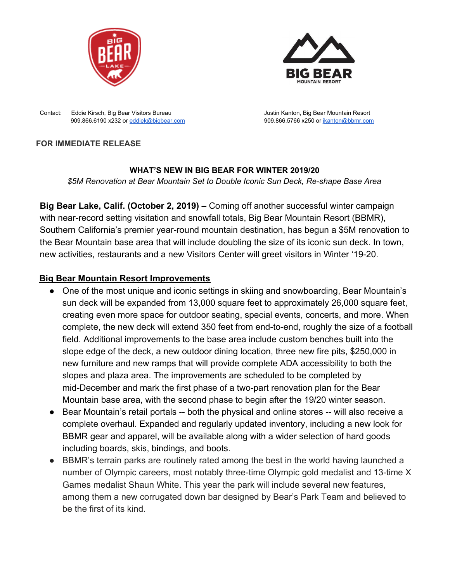



Contact: Eddie Kirsch, Big Bear Visitors Bureau Justin Kanton, Big Bear Mountain Resort 909.866.6190 x232 or [eddiek@bigbear.com](mailto:eddiek@bigbear.com) 909.866.5766 x250 or [jkanton@bbmr.com](mailto:jkanton@bbmr.com)

### **FOR IMMEDIATE RELEASE**

#### **WHAT'S NEW IN BIG BEAR FOR WINTER 2019/20**

*\$5M Renovation at Bear Mountain Set to Double Iconic Sun Deck, Re-shape Base Area*

**Big Bear Lake, Calif. (October 2, 2019) –** Coming off another successful winter campaign with near-record setting visitation and snowfall totals, Big Bear Mountain Resort (BBMR), Southern California's premier year-round mountain destination, has begun a \$5M renovation to the Bear Mountain base area that will include doubling the size of its iconic sun deck. In town, new activities, restaurants and a new Visitors Center will greet visitors in Winter '19-20.

## **Big Bear Mountain Resort Improvements**

- **●** One of the most unique and iconic settings in skiing and snowboarding, Bear Mountain's sun deck will be expanded from 13,000 square feet to approximately 26,000 square feet, creating even more space for outdoor seating, special events, concerts, and more. When complete, the new deck will extend 350 feet from end-to-end, roughly the size of a football field. Additional improvements to the base area include custom benches built into the slope edge of the deck, a new outdoor dining location, three new fire pits, \$250,000 in new furniture and new ramps that will provide complete ADA accessibility to both the slopes and plaza area. The improvements are scheduled to be completed by mid-December and mark the first phase of a two-part renovation plan for the Bear Mountain base area, with the second phase to begin after the 19/20 winter season.
- **●** Bear Mountain's retail portals -- both the physical and online stores -- will also receive a complete overhaul. Expanded and regularly updated inventory, including a new look for BBMR gear and apparel, will be available along with a wider selection of hard goods including boards, skis, bindings, and boots.
- **●** BBMR's terrain parks are routinely rated among the best in the world having launched a number of Olympic careers, most notably three-time Olympic gold medalist and 13-time X Games medalist Shaun White. This year the park will include several new features, among them a new corrugated down bar designed by Bear's Park Team and believed to be the first of its kind.